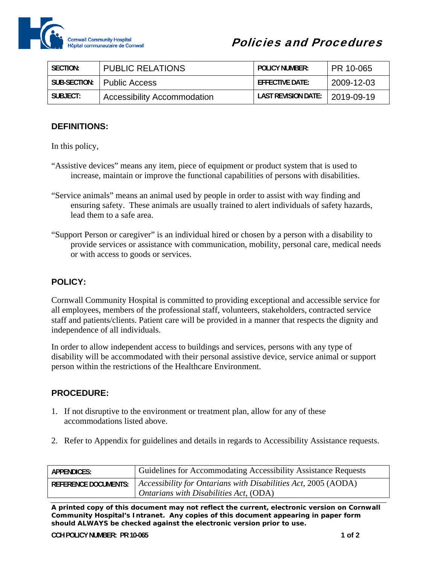

| SECTION:     | <b>PUBLIC RELATIONS</b>            | <b>POLICY NUMBER:</b>            | ∣ PR 10-065 |
|--------------|------------------------------------|----------------------------------|-------------|
| SUB-SECTION: | <b>Public Access</b>               | $F$ FFF $C$ TIVF DATF:           | 2009-12-03  |
| SUBJECT:     | <b>Accessibility Accommodation</b> | LAST REVISION DATE:   2019-09-19 |             |

## **DEFINITIONS:**

In this policy,

- "Assistive devices" means any item, piece of equipment or product system that is used to increase, maintain or improve the functional capabilities of persons with disabilities.
- "Service animals" means an animal used by people in order to assist with way finding and ensuring safety. These animals are usually trained to alert individuals of safety hazards, lead them to a safe area.
- "Support Person or caregiver" is an individual hired or chosen by a person with a disability to provide services or assistance with communication, mobility, personal care, medical needs or with access to goods or services.

## **POLICY:**

Cornwall Community Hospital is committed to providing exceptional and accessible service for all employees, members of the professional staff, volunteers, stakeholders, contracted service staff and patients/clients. Patient care will be provided in a manner that respects the dignity and independence of all individuals.

In order to allow independent access to buildings and services, persons with any type of disability will be accommodated with their personal assistive device, service animal or support person within the restrictions of the Healthcare Environment.

## **PROCEDURE:**

- 1. If not disruptive to the environment or treatment plan, allow for any of these accommodations listed above.
- 2. Refer to Appendix for guidelines and details in regards to Accessibility Assistance requests.

| APPENDICES:                 | Guidelines for Accommodating Accessibility Assistance Requests                                                          |
|-----------------------------|-------------------------------------------------------------------------------------------------------------------------|
| <b>REFERENCE DOCUMENTS:</b> | $\vert$ Accessibility for Ontarians with Disabilities Act, 2005 (AODA)<br>$\Box$ Ontarians with Disabilities Act, (ODA) |

*A printed copy of this document may not reflect the current, electronic version on Cornwall Community Hospital's Intranet. Any copies of this document appearing in paper form should ALWAYS be checked against the electronic version prior to use.*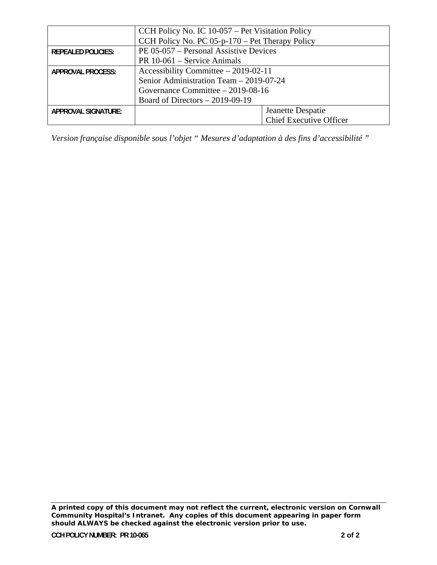|                            | CCH Policy No. IC 10-057 – Pet Visitation Policy  |                                |  |  |  |
|----------------------------|---------------------------------------------------|--------------------------------|--|--|--|
|                            | CCH Policy No. PC $05-p-170$ – Pet Therapy Policy |                                |  |  |  |
| <b>REPEALED POLICIES:</b>  | PE 05-057 – Personal Assistive Devices            |                                |  |  |  |
|                            | $PR 10-061 - Service Animals$                     |                                |  |  |  |
| APPROVAL PROCESS:          | Accessibility Committee $-2019-02-11$             |                                |  |  |  |
|                            | Senior Administration Team - 2019-07-24           |                                |  |  |  |
|                            | Governance Committee - 2019-08-16                 |                                |  |  |  |
|                            | Board of Directors $-2019-09-19$                  |                                |  |  |  |
| <b>APPROVAL SIGNATURE:</b> |                                                   | Jeanette Despatie              |  |  |  |
|                            |                                                   | <b>Chief Executive Officer</b> |  |  |  |

*Version française disponible sous l'objet " Mesures d'adaptation à des fins d'accessibilité "* 

*A printed copy of this document may not reflect the current, electronic version on Cornwall Community Hospital's Intranet. Any copies of this document appearing in paper form should ALWAYS be checked against the electronic version prior to use.*